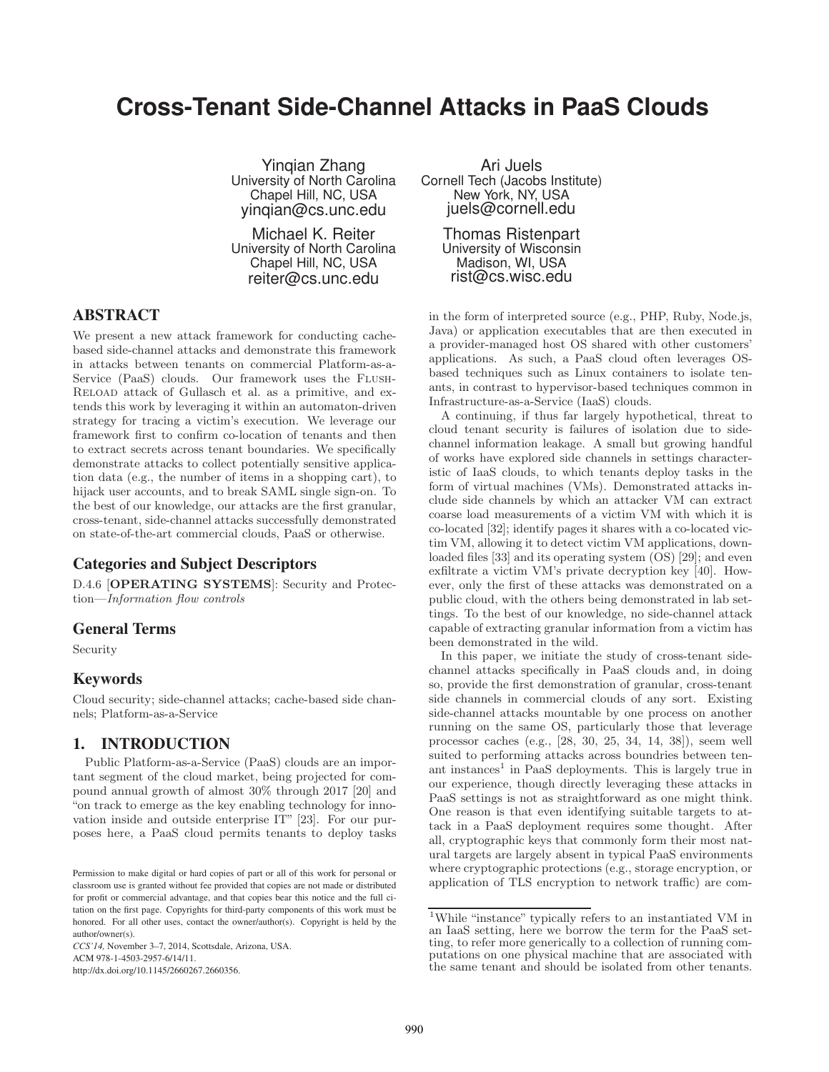# **Cross-Tenant Side-Channel Attacks in PaaS Clouds**

Yinqian Zhang University of North Carolina Chapel Hill, NC, USA yinqian@cs.unc.edu

Michael K. Reiter University of North Carolina Chapel Hill, NC, USA reiter@cs.unc.edu

# ABSTRACT

We present a new attack framework for conducting cachebased side-channel attacks and demonstrate this framework in attacks between tenants on commercial Platform-as-a-Service (PaaS) clouds. Our framework uses the FLUSH-Reload attack of Gullasch et al. as a primitive, and extends this work by leveraging it within an automaton-driven strategy for tracing a victim's execution. We leverage our framework first to confirm co-location of tenants and then to extract secrets across tenant boundaries. We specifically demonstrate attacks to collect potentially sensitive application data (e.g., the number of items in a shopping cart), to hijack user accounts, and to break SAML single sign-on. To the best of our knowledge, our attacks are the first granular, cross-tenant, side-channel attacks successfully demonstrated on state-of-the-art commercial clouds, PaaS or otherwise.

## Categories and Subject Descriptors

D.4.6 [OPERATING SYSTEMS]: Security and Protection—Information flow controls

## General Terms

Security

# **Keywords**

Cloud security; side-channel attacks; cache-based side channels; Platform-as-a-Service

# 1. INTRODUCTION

Public Platform-as-a-Service (PaaS) clouds are an important segment of the cloud market, being projected for compound annual growth of almost 30% through 2017 [20] and "on track to emerge as the key enabling technology for innovation inside and outside enterprise IT" [23]. For our purposes here, a PaaS cloud permits tenants to deploy tasks

*CCS'14,* November 3–7, 2014, Scottsdale, Arizona, USA. ACM 978-1-4503-2957-6/14/11. http://dx.doi.org/10.1145/2660267.2660356.

Ari Juels Cornell Tech (Jacobs Institute) New York, NY, USA juels@cornell.edu

> Thomas Ristenpart University of Wisconsin Madison, WI, USA rist@cs.wisc.edu

in the form of interpreted source (e.g., PHP, Ruby, Node.js, Java) or application executables that are then executed in a provider-managed host OS shared with other customers' applications. As such, a PaaS cloud often leverages OSbased techniques such as Linux containers to isolate tenants, in contrast to hypervisor-based techniques common in Infrastructure-as-a-Service (IaaS) clouds.

A continuing, if thus far largely hypothetical, threat to cloud tenant security is failures of isolation due to sidechannel information leakage. A small but growing handful of works have explored side channels in settings characteristic of IaaS clouds, to which tenants deploy tasks in the form of virtual machines (VMs). Demonstrated attacks include side channels by which an attacker VM can extract coarse load measurements of a victim VM with which it is co-located [32]; identify pages it shares with a co-located victim VM, allowing it to detect victim VM applications, downloaded files [33] and its operating system (OS) [29]; and even exfiltrate a victim VM's private decryption key [40]. However, only the first of these attacks was demonstrated on a public cloud, with the others being demonstrated in lab settings. To the best of our knowledge, no side-channel attack capable of extracting granular information from a victim has been demonstrated in the wild.

In this paper, we initiate the study of cross-tenant sidechannel attacks specifically in PaaS clouds and, in doing so, provide the first demonstration of granular, cross-tenant side channels in commercial clouds of any sort. Existing side-channel attacks mountable by one process on another running on the same OS, particularly those that leverage processor caches (e.g., [28, 30, 25, 34, 14, 38]), seem well suited to performing attacks across boundries between tenant instances<sup>1</sup> in PaaS deployments. This is largely true in our experience, though directly leveraging these attacks in PaaS settings is not as straightforward as one might think. One reason is that even identifying suitable targets to attack in a PaaS deployment requires some thought. After all, cryptographic keys that commonly form their most natural targets are largely absent in typical PaaS environments where cryptographic protections (e.g., storage encryption, or application of TLS encryption to network traffic) are com-

Permission to make digital or hard copies of part or all of this work for personal or classroom use is granted without fee provided that copies are not made or distributed for profit or commercial advantage, and that copies bear this notice and the full citation on the first page. Copyrights for third-party components of this work must be honored. For all other uses, contact the owner/author(s). Copyright is held by the author/owner(s).

<sup>1</sup>While "instance" typically refers to an instantiated VM in an IaaS setting, here we borrow the term for the PaaS setting, to refer more generically to a collection of running computations on one physical machine that are associated with the same tenant and should be isolated from other tenants.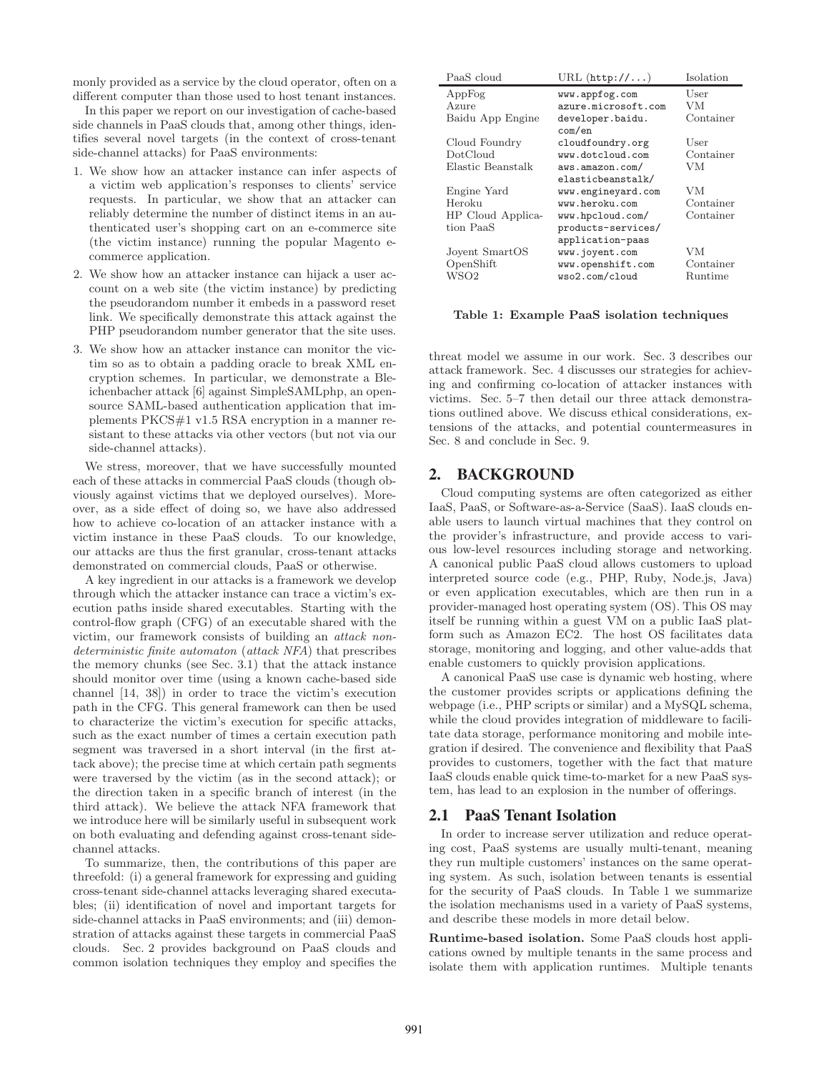monly provided as a service by the cloud operator, often on a different computer than those used to host tenant instances.

In this paper we report on our investigation of cache-based side channels in PaaS clouds that, among other things, identifies several novel targets (in the context of cross-tenant side-channel attacks) for PaaS environments:

- 1. We show how an attacker instance can infer aspects of a victim web application's responses to clients' service requests. In particular, we show that an attacker can reliably determine the number of distinct items in an authenticated user's shopping cart on an e-commerce site (the victim instance) running the popular Magento ecommerce application.
- 2. We show how an attacker instance can hijack a user account on a web site (the victim instance) by predicting the pseudorandom number it embeds in a password reset link. We specifically demonstrate this attack against the PHP pseudorandom number generator that the site uses.
- 3. We show how an attacker instance can monitor the victim so as to obtain a padding oracle to break XML encryption schemes. In particular, we demonstrate a Bleichenbacher attack [6] against SimpleSAMLphp, an opensource SAML-based authentication application that implements PKCS#1 v1.5 RSA encryption in a manner resistant to these attacks via other vectors (but not via our side-channel attacks).

We stress, moreover, that we have successfully mounted each of these attacks in commercial PaaS clouds (though obviously against victims that we deployed ourselves). Moreover, as a side effect of doing so, we have also addressed how to achieve co-location of an attacker instance with a victim instance in these PaaS clouds. To our knowledge, our attacks are thus the first granular, cross-tenant attacks demonstrated on commercial clouds, PaaS or otherwise.

A key ingredient in our attacks is a framework we develop through which the attacker instance can trace a victim's execution paths inside shared executables. Starting with the control-flow graph (CFG) of an executable shared with the victim, our framework consists of building an attack nondeterministic finite automaton (attack NFA) that prescribes the memory chunks (see Sec. 3.1) that the attack instance should monitor over time (using a known cache-based side channel [14, 38]) in order to trace the victim's execution path in the CFG. This general framework can then be used to characterize the victim's execution for specific attacks, such as the exact number of times a certain execution path segment was traversed in a short interval (in the first attack above); the precise time at which certain path segments were traversed by the victim (as in the second attack); or the direction taken in a specific branch of interest (in the third attack). We believe the attack NFA framework that we introduce here will be similarly useful in subsequent work on both evaluating and defending against cross-tenant sidechannel attacks.

To summarize, then, the contributions of this paper are threefold: (i) a general framework for expressing and guiding cross-tenant side-channel attacks leveraging shared executables; (ii) identification of novel and important targets for side-channel attacks in PaaS environments; and (iii) demonstration of attacks against these targets in commercial PaaS clouds. Sec. 2 provides background on PaaS clouds and common isolation techniques they employ and specifies the

| Paa <sub>S</sub> cloud | $\text{URL}(\text{http://})$ | Isolation |
|------------------------|------------------------------|-----------|
| AppFog                 | www.appfog.com               | User      |
| Azure                  | azure.microsoft.com          | VМ        |
| Baidu App Engine       | developer.baidu.             | Container |
|                        | com/en                       |           |
| Cloud Foundry          | cloudfoundry.org             | User      |
| DotCloud               | www.dotcloud.com             | Container |
| Elastic Beanstalk      | aws.amazon.com/              | VМ        |
|                        | elasticbeanstalk/            |           |
| Engine Yard            | www.engineyard.com           | VМ        |
| Heroku                 | www.heroku.com               | Container |
| HP Cloud Applica-      | www.hpcloud.com/             | Container |
| tion PaaS              | products-services/           |           |
|                        | application-paas             |           |
| Jovent SmartOS         | www.joyent.com               | VМ        |
| OpenShift              | www.openshift.com            | Container |
| WSO <sub>2</sub>       | wso2.com/cloud               | Runtime   |

#### Table 1: Example PaaS isolation techniques

threat model we assume in our work. Sec. 3 describes our attack framework. Sec. 4 discusses our strategies for achieving and confirming co-location of attacker instances with victims. Sec. 5–7 then detail our three attack demonstrations outlined above. We discuss ethical considerations, extensions of the attacks, and potential countermeasures in Sec. 8 and conclude in Sec. 9.

### 2. BACKGROUND

Cloud computing systems are often categorized as either IaaS, PaaS, or Software-as-a-Service (SaaS). IaaS clouds enable users to launch virtual machines that they control on the provider's infrastructure, and provide access to various low-level resources including storage and networking. A canonical public PaaS cloud allows customers to upload interpreted source code (e.g., PHP, Ruby, Node.js, Java) or even application executables, which are then run in a provider-managed host operating system (OS). This OS may itself be running within a guest VM on a public IaaS platform such as Amazon EC2. The host OS facilitates data storage, monitoring and logging, and other value-adds that enable customers to quickly provision applications.

A canonical PaaS use case is dynamic web hosting, where the customer provides scripts or applications defining the webpage (i.e., PHP scripts or similar) and a MySQL schema, while the cloud provides integration of middleware to facilitate data storage, performance monitoring and mobile integration if desired. The convenience and flexibility that PaaS provides to customers, together with the fact that mature IaaS clouds enable quick time-to-market for a new PaaS system, has lead to an explosion in the number of offerings.

#### 2.1 PaaS Tenant Isolation

In order to increase server utilization and reduce operating cost, PaaS systems are usually multi-tenant, meaning they run multiple customers' instances on the same operating system. As such, isolation between tenants is essential for the security of PaaS clouds. In Table 1 we summarize the isolation mechanisms used in a variety of PaaS systems, and describe these models in more detail below.

Runtime-based isolation. Some PaaS clouds host applications owned by multiple tenants in the same process and isolate them with application runtimes. Multiple tenants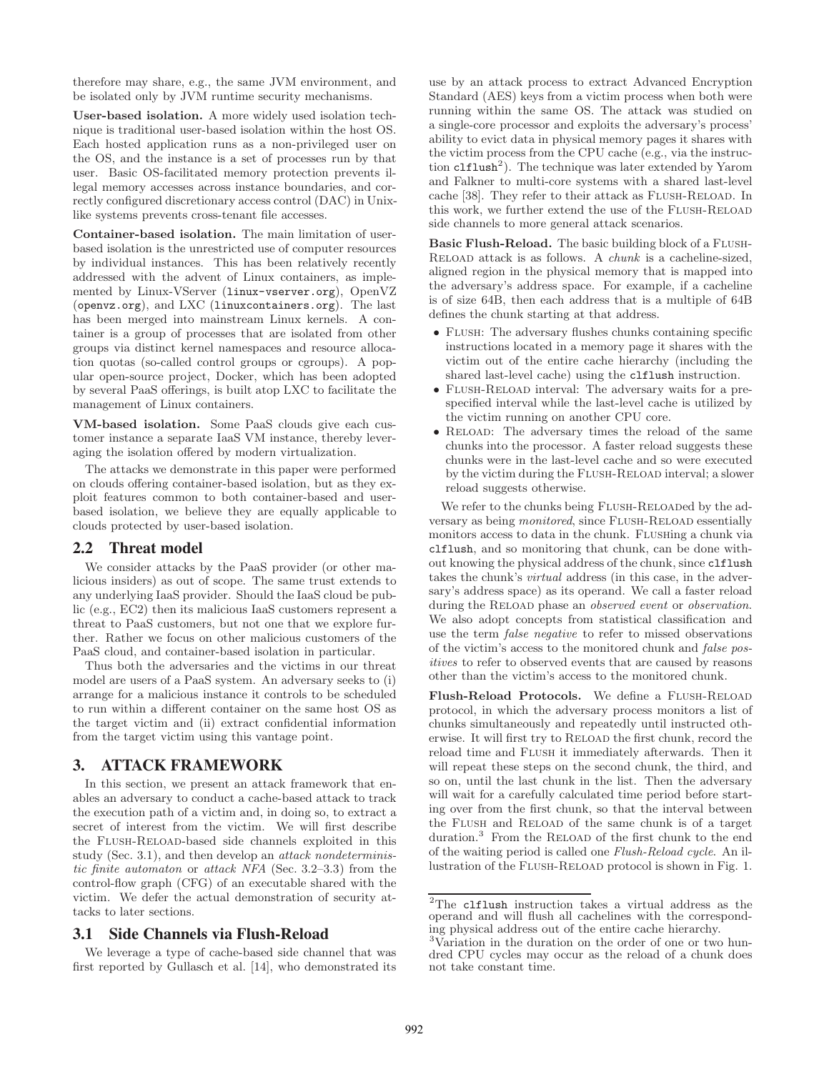therefore may share, e.g., the same JVM environment, and be isolated only by JVM runtime security mechanisms.

User-based isolation. A more widely used isolation technique is traditional user-based isolation within the host OS. Each hosted application runs as a non-privileged user on the OS, and the instance is a set of processes run by that user. Basic OS-facilitated memory protection prevents illegal memory accesses across instance boundaries, and correctly configured discretionary access control (DAC) in Unixlike systems prevents cross-tenant file accesses.

Container-based isolation. The main limitation of userbased isolation is the unrestricted use of computer resources by individual instances. This has been relatively recently addressed with the advent of Linux containers, as implemented by Linux-VServer (linux-vserver.org), OpenVZ (openvz.org), and LXC (linuxcontainers.org). The last has been merged into mainstream Linux kernels. A container is a group of processes that are isolated from other groups via distinct kernel namespaces and resource allocation quotas (so-called control groups or cgroups). A popular open-source project, Docker, which has been adopted by several PaaS offerings, is built atop LXC to facilitate the management of Linux containers.

VM-based isolation. Some PaaS clouds give each customer instance a separate IaaS VM instance, thereby leveraging the isolation offered by modern virtualization.

The attacks we demonstrate in this paper were performed on clouds offering container-based isolation, but as they exploit features common to both container-based and userbased isolation, we believe they are equally applicable to clouds protected by user-based isolation.

## 2.2 Threat model

We consider attacks by the PaaS provider (or other malicious insiders) as out of scope. The same trust extends to any underlying IaaS provider. Should the IaaS cloud be public (e.g., EC2) then its malicious IaaS customers represent a threat to PaaS customers, but not one that we explore further. Rather we focus on other malicious customers of the PaaS cloud, and container-based isolation in particular.

Thus both the adversaries and the victims in our threat model are users of a PaaS system. An adversary seeks to (i) arrange for a malicious instance it controls to be scheduled to run within a different container on the same host OS as the target victim and (ii) extract confidential information from the target victim using this vantage point.

## 3. ATTACK FRAMEWORK

In this section, we present an attack framework that enables an adversary to conduct a cache-based attack to track the execution path of a victim and, in doing so, to extract a secret of interest from the victim. We will first describe the Flush-Reload-based side channels exploited in this study (Sec. 3.1), and then develop an *attack nondeterminis*tic finite automaton or attack NFA (Sec. 3.2–3.3) from the control-flow graph (CFG) of an executable shared with the victim. We defer the actual demonstration of security attacks to later sections.

### 3.1 Side Channels via Flush-Reload

We leverage a type of cache-based side channel that was first reported by Gullasch et al. [14], who demonstrated its use by an attack process to extract Advanced Encryption Standard (AES) keys from a victim process when both were running within the same OS. The attack was studied on a single-core processor and exploits the adversary's process' ability to evict data in physical memory pages it shares with the victim process from the CPU cache (e.g., via the instruction clflush<sup>2</sup>). The technique was later extended by Yarom and Falkner to multi-core systems with a shared last-level cache [38]. They refer to their attack as Flush-Reload. In this work, we further extend the use of the FLUSH-RELOAD side channels to more general attack scenarios.

Basic Flush-Reload. The basic building block of a FLUSH-RELOAD attack is as follows. A *chunk* is a cacheline-sized, aligned region in the physical memory that is mapped into the adversary's address space. For example, if a cacheline is of size 64B, then each address that is a multiple of 64B defines the chunk starting at that address.

- FLUSH: The adversary flushes chunks containing specific instructions located in a memory page it shares with the victim out of the entire cache hierarchy (including the shared last-level cache) using the clflush instruction.
- FLUSH-RELOAD interval: The adversary waits for a prespecified interval while the last-level cache is utilized by the victim running on another CPU core.
- RELOAD: The adversary times the reload of the same chunks into the processor. A faster reload suggests these chunks were in the last-level cache and so were executed by the victim during the Flush-Reload interval; a slower reload suggests otherwise.

We refer to the chunks being FLUSH-RELOADed by the adversary as being *monitored*, since FLUSH-RELOAD essentially monitors access to data in the chunk. FLUSHing a chunk via clflush, and so monitoring that chunk, can be done without knowing the physical address of the chunk, since clflush takes the chunk's virtual address (in this case, in the adversary's address space) as its operand. We call a faster reload during the RELOAD phase an *observed event* or *observation*. We also adopt concepts from statistical classification and use the term false negative to refer to missed observations of the victim's access to the monitored chunk and false positives to refer to observed events that are caused by reasons other than the victim's access to the monitored chunk.

Flush-Reload Protocols. We define a FLUSH-RELOAD protocol, in which the adversary process monitors a list of chunks simultaneously and repeatedly until instructed otherwise. It will first try to Reload the first chunk, record the reload time and Flush it immediately afterwards. Then it will repeat these steps on the second chunk, the third, and so on, until the last chunk in the list. Then the adversary will wait for a carefully calculated time period before starting over from the first chunk, so that the interval between the Flush and Reload of the same chunk is of a target duration.<sup>3</sup> From the RELOAD of the first chunk to the end of the waiting period is called one Flush-Reload cycle. An illustration of the Flush-Reload protocol is shown in Fig. 1.

<sup>2</sup>The clflush instruction takes a virtual address as the operand and will flush all cachelines with the corresponding physical address out of the entire cache hierarchy.

<sup>3</sup>Variation in the duration on the order of one or two hundred CPU cycles may occur as the reload of a chunk does not take constant time.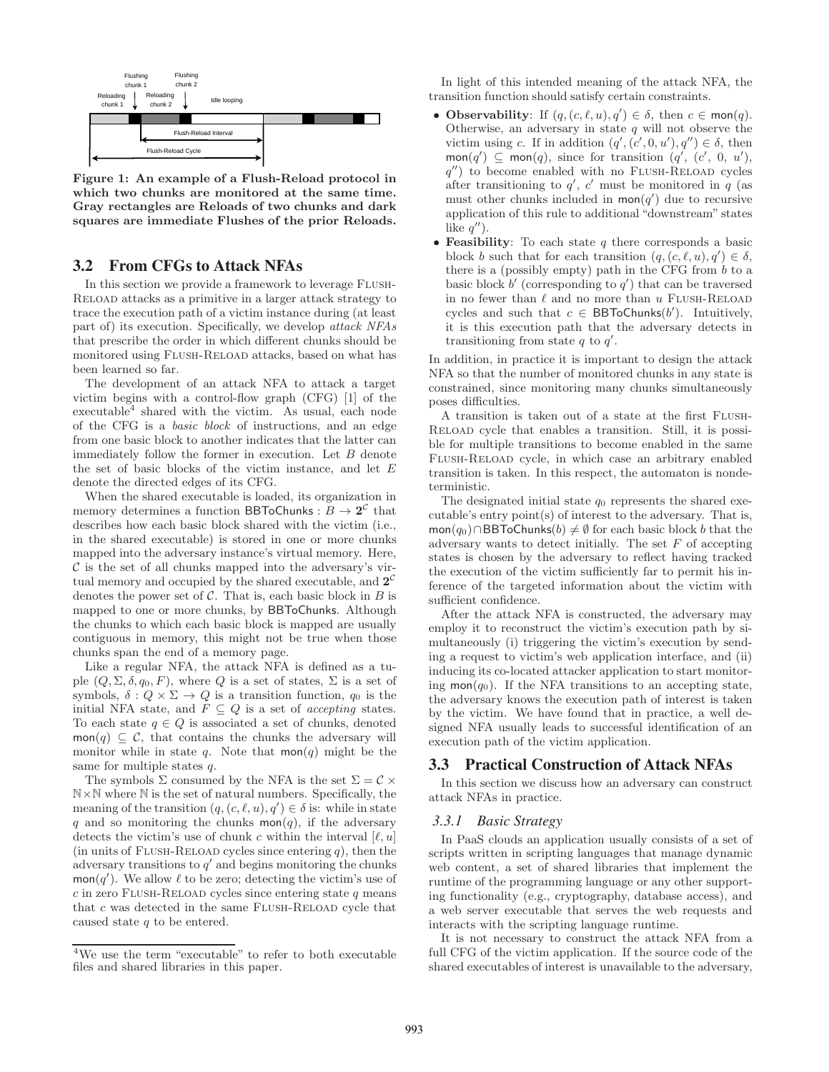

Figure 1: An example of a Flush-Reload protocol in which two chunks are monitored at the same time. Gray rectangles are Reloads of two chunks and dark squares are immediate Flushes of the prior Reloads.

# 3.2 From CFGs to Attack NFAs

In this section we provide a framework to leverage FLUSH-Reload attacks as a primitive in a larger attack strategy to trace the execution path of a victim instance during (at least part of) its execution. Specifically, we develop attack NFAs that prescribe the order in which different chunks should be monitored using Flush-Reload attacks, based on what has been learned so far.

The development of an attack NFA to attack a target victim begins with a control-flow graph (CFG) [1] of the executable<sup>4</sup> shared with the victim. As usual, each node of the CFG is a basic block of instructions, and an edge from one basic block to another indicates that the latter can immediately follow the former in execution. Let  $B$  denote the set of basic blocks of the victim instance, and let  $E$ denote the directed edges of its CFG.

When the shared executable is loaded, its organization in memory determines a function BBToChunks :  $B \to 2^C$  that describes how each basic block shared with the victim (i.e., in the shared executable) is stored in one or more chunks mapped into the adversary instance's virtual memory. Here,  $\mathcal C$  is the set of all chunks mapped into the adversary's virtual memory and occupied by the shared executable, and  $2^{\mathcal{C}}$ denotes the power set of  $C$ . That is, each basic block in  $B$  is mapped to one or more chunks, by BBToChunks. Although the chunks to which each basic block is mapped are usually contiguous in memory, this might not be true when those chunks span the end of a memory page.

Like a regular NFA, the attack NFA is defined as a tuple  $(Q, \Sigma, \delta, q_0, F)$ , where Q is a set of states,  $\Sigma$  is a set of symbols,  $\delta: Q \times \Sigma \to Q$  is a transition function,  $q_0$  is the initial NFA state, and  $F \subseteq Q$  is a set of  $accepting$  states. To each state  $q \in Q$  is associated a set of chunks, denoted  $\mathsf{mon}(q) \subseteq \mathcal{C}$ , that contains the chunks the adversary will monitor while in state q. Note that  $\text{mon}(q)$  might be the same for multiple states  $q$ .

The symbols  $\Sigma$  consumed by the NFA is the set  $\Sigma = \mathcal{C} \times$  $N \times N$  where N is the set of natural numbers. Specifically, the meaning of the transition  $(q, (c, \ell, u), q') \in \delta$  is: while in state q and so monitoring the chunks  $\text{mon}(q)$ , if the adversary detects the victim's use of chunk c within the interval  $[\ell, u]$ (in units of FLUSH-RELOAD cycles since entering q), then the adversary transitions to  $q'$  and begins monitoring the chunks  $\textsf{mon}(q')$ . We allow  $\ell$  to be zero; detecting the victim's use of  $c$  in zero FLUSH-RELOAD cycles since entering state  $q$  means that  $c$  was detected in the same  $FLUSH-RELOAD$  cycle that caused state  $q$  to be entered.

In light of this intended meaning of the attack NFA, the transition function should satisfy certain constraints.

- Observability: If  $(q, (c, \ell, u), q') \in \delta$ , then  $c \in \text{mon}(q)$ . Otherwise, an adversary in state  $q$  will not observe the victim using c. If in addition  $(q', (c', 0, u'), q'') \in \delta$ , then  $\text{mon}(q') \subseteq \text{mon}(q)$ , since for transition  $(q', (c', 0, u'),$  $q'$ ) to become enabled with no FLUSH-RELOAD cycles after transitioning to  $q'$ , c' must be monitored in q (as must other chunks included in  $\text{mon}(q')$  due to recursive application of this rule to additional "downstream" states like  $q'$ ).
- Feasibility: To each state  $q$  there corresponds a basic block b such that for each transition  $(q, (c, \ell, u), q') \in \delta$ , there is a (possibly empty) path in the CFG from b to a basic block  $b'$  (corresponding to  $q'$ ) that can be traversed in no fewer than  $\ell$  and no more than  $u$  FLUSH-RELOAD cycles and such that  $c \in \text{BBToChunks}(b')$ . Intuitively, it is this execution path that the adversary detects in transitioning from state  $q$  to  $q'$ .

In addition, in practice it is important to design the attack NFA so that the number of monitored chunks in any state is constrained, since monitoring many chunks simultaneously poses difficulties.

A transition is taken out of a state at the first Flush-Reload cycle that enables a transition. Still, it is possible for multiple transitions to become enabled in the same Flush-Reload cycle, in which case an arbitrary enabled transition is taken. In this respect, the automaton is nondeterministic.

The designated initial state  $q_0$  represents the shared executable's entry point(s) of interest to the adversary. That is, mon(q<sub>0</sub>)∩BBToChunks(b)  $\neq$  Ø for each basic block b that the adversary wants to detect initially. The set  $F$  of accepting states is chosen by the adversary to reflect having tracked the execution of the victim sufficiently far to permit his inference of the targeted information about the victim with sufficient confidence.

After the attack NFA is constructed, the adversary may employ it to reconstruct the victim's execution path by simultaneously (i) triggering the victim's execution by sending a request to victim's web application interface, and (ii) inducing its co-located attacker application to start monitoring mon $(q_0)$ . If the NFA transitions to an accepting state, the adversary knows the execution path of interest is taken by the victim. We have found that in practice, a well designed NFA usually leads to successful identification of an execution path of the victim application.

# 3.3 Practical Construction of Attack NFAs

In this section we discuss how an adversary can construct attack NFAs in practice.

#### *3.3.1 Basic Strategy*

In PaaS clouds an application usually consists of a set of scripts written in scripting languages that manage dynamic web content, a set of shared libraries that implement the runtime of the programming language or any other supporting functionality (e.g., cryptography, database access), and a web server executable that serves the web requests and interacts with the scripting language runtime.

It is not necessary to construct the attack NFA from a full CFG of the victim application. If the source code of the shared executables of interest is unavailable to the adversary,

 ${}^{4}{\rm{We}}$  use the term "executable" to refer to both executable files and shared libraries in this paper.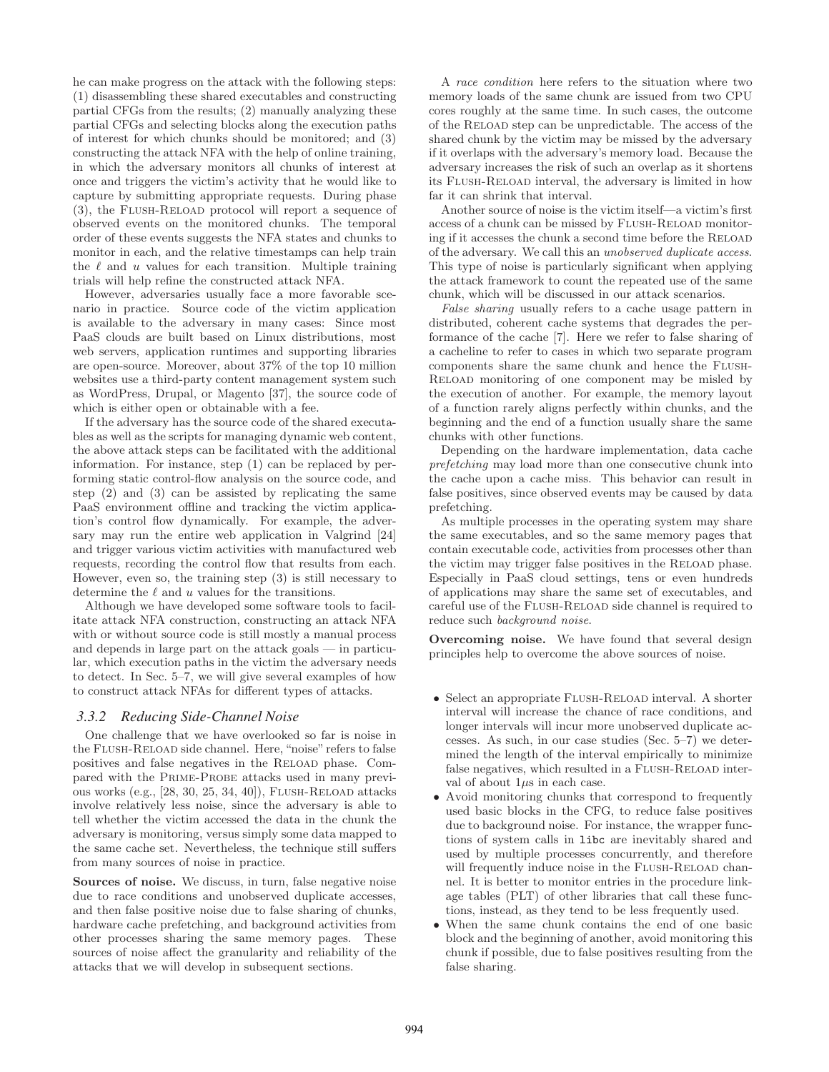he can make progress on the attack with the following steps: (1) disassembling these shared executables and constructing partial CFGs from the results; (2) manually analyzing these partial CFGs and selecting blocks along the execution paths of interest for which chunks should be monitored; and (3) constructing the attack NFA with the help of online training, in which the adversary monitors all chunks of interest at once and triggers the victim's activity that he would like to capture by submitting appropriate requests. During phase (3), the Flush-Reload protocol will report a sequence of observed events on the monitored chunks. The temporal order of these events suggests the NFA states and chunks to monitor in each, and the relative timestamps can help train the  $\ell$  and  $u$  values for each transition. Multiple training trials will help refine the constructed attack NFA.

However, adversaries usually face a more favorable scenario in practice. Source code of the victim application is available to the adversary in many cases: Since most PaaS clouds are built based on Linux distributions, most web servers, application runtimes and supporting libraries are open-source. Moreover, about 37% of the top 10 million websites use a third-party content management system such as WordPress, Drupal, or Magento [37], the source code of which is either open or obtainable with a fee.

If the adversary has the source code of the shared executables as well as the scripts for managing dynamic web content, the above attack steps can be facilitated with the additional information. For instance, step (1) can be replaced by performing static control-flow analysis on the source code, and step (2) and (3) can be assisted by replicating the same PaaS environment offline and tracking the victim application's control flow dynamically. For example, the adversary may run the entire web application in Valgrind [24] and trigger various victim activities with manufactured web requests, recording the control flow that results from each. However, even so, the training step (3) is still necessary to determine the  $\ell$  and  $u$  values for the transitions.

Although we have developed some software tools to facilitate attack NFA construction, constructing an attack NFA with or without source code is still mostly a manual process and depends in large part on the attack goals — in particular, which execution paths in the victim the adversary needs to detect. In Sec. 5–7, we will give several examples of how to construct attack NFAs for different types of attacks.

#### *3.3.2 Reducing Side-Channel Noise*

One challenge that we have overlooked so far is noise in the Flush-Reload side channel. Here, "noise" refers to false positives and false negatives in the Reload phase. Compared with the Prime-Probe attacks used in many previous works (e.g.,  $[28, 30, 25, 34, 40]$ ), FLUSH-RELOAD attacks involve relatively less noise, since the adversary is able to tell whether the victim accessed the data in the chunk the adversary is monitoring, versus simply some data mapped to the same cache set. Nevertheless, the technique still suffers from many sources of noise in practice.

Sources of noise. We discuss, in turn, false negative noise due to race conditions and unobserved duplicate accesses, and then false positive noise due to false sharing of chunks, hardware cache prefetching, and background activities from other processes sharing the same memory pages. These sources of noise affect the granularity and reliability of the attacks that we will develop in subsequent sections.

A race condition here refers to the situation where two memory loads of the same chunk are issued from two CPU cores roughly at the same time. In such cases, the outcome of the Reload step can be unpredictable. The access of the shared chunk by the victim may be missed by the adversary if it overlaps with the adversary's memory load. Because the adversary increases the risk of such an overlap as it shortens its Flush-Reload interval, the adversary is limited in how far it can shrink that interval.

Another source of noise is the victim itself—a victim's first access of a chunk can be missed by Flush-Reload monitoring if it accesses the chunk a second time before the RELOAD of the adversary. We call this an unobserved duplicate access. This type of noise is particularly significant when applying the attack framework to count the repeated use of the same chunk, which will be discussed in our attack scenarios.

False sharing usually refers to a cache usage pattern in distributed, coherent cache systems that degrades the performance of the cache [7]. Here we refer to false sharing of a cacheline to refer to cases in which two separate program components share the same chunk and hence the Flush-Reload monitoring of one component may be misled by the execution of another. For example, the memory layout of a function rarely aligns perfectly within chunks, and the beginning and the end of a function usually share the same chunks with other functions.

Depending on the hardware implementation, data cache prefetching may load more than one consecutive chunk into the cache upon a cache miss. This behavior can result in false positives, since observed events may be caused by data prefetching.

As multiple processes in the operating system may share the same executables, and so the same memory pages that contain executable code, activities from processes other than the victim may trigger false positives in the Reload phase. Especially in PaaS cloud settings, tens or even hundreds of applications may share the same set of executables, and careful use of the Flush-Reload side channel is required to reduce such background noise.

Overcoming noise. We have found that several design principles help to overcome the above sources of noise.

- Select an appropriate FLUSH-RELOAD interval. A shorter interval will increase the chance of race conditions, and longer intervals will incur more unobserved duplicate accesses. As such, in our case studies (Sec. 5–7) we determined the length of the interval empirically to minimize false negatives, which resulted in a FLUSH-RELOAD interval of about  $1\mu s$  in each case.
- Avoid monitoring chunks that correspond to frequently used basic blocks in the CFG, to reduce false positives due to background noise. For instance, the wrapper functions of system calls in libc are inevitably shared and used by multiple processes concurrently, and therefore will frequently induce noise in the FLUSH-RELOAD channel. It is better to monitor entries in the procedure linkage tables (PLT) of other libraries that call these functions, instead, as they tend to be less frequently used.
- When the same chunk contains the end of one basic block and the beginning of another, avoid monitoring this chunk if possible, due to false positives resulting from the false sharing.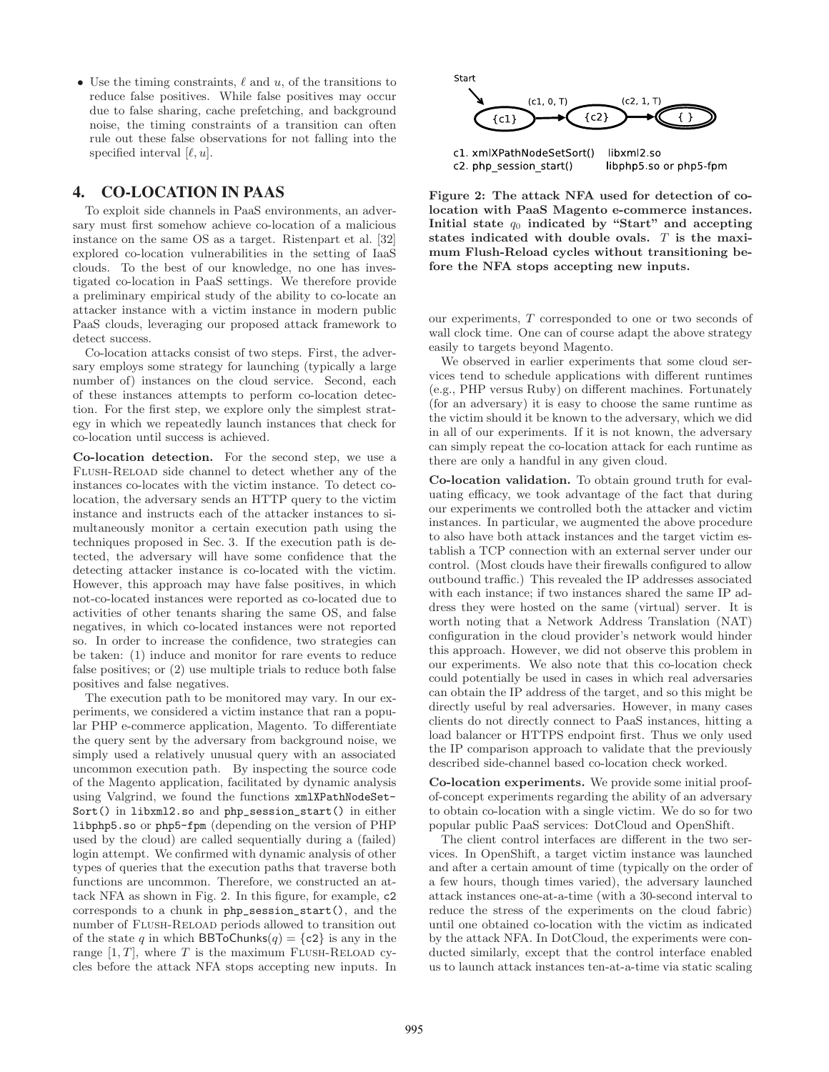• Use the timing constraints,  $\ell$  and  $u$ , of the transitions to reduce false positives. While false positives may occur due to false sharing, cache prefetching, and background noise, the timing constraints of a transition can often rule out these false observations for not falling into the specified interval  $[\ell, u]$ .

# 4. CO-LOCATION IN PAAS

To exploit side channels in PaaS environments, an adversary must first somehow achieve co-location of a malicious instance on the same OS as a target. Ristenpart et al. [32] explored co-location vulnerabilities in the setting of IaaS clouds. To the best of our knowledge, no one has investigated co-location in PaaS settings. We therefore provide a preliminary empirical study of the ability to co-locate an attacker instance with a victim instance in modern public PaaS clouds, leveraging our proposed attack framework to detect success.

Co-location attacks consist of two steps. First, the adversary employs some strategy for launching (typically a large number of) instances on the cloud service. Second, each of these instances attempts to perform co-location detection. For the first step, we explore only the simplest strategy in which we repeatedly launch instances that check for co-location until success is achieved.

Co-location detection. For the second step, we use a Flush-Reload side channel to detect whether any of the instances co-locates with the victim instance. To detect colocation, the adversary sends an HTTP query to the victim instance and instructs each of the attacker instances to simultaneously monitor a certain execution path using the techniques proposed in Sec. 3. If the execution path is detected, the adversary will have some confidence that the detecting attacker instance is co-located with the victim. However, this approach may have false positives, in which not-co-located instances were reported as co-located due to activities of other tenants sharing the same OS, and false negatives, in which co-located instances were not reported so. In order to increase the confidence, two strategies can be taken: (1) induce and monitor for rare events to reduce false positives; or (2) use multiple trials to reduce both false positives and false negatives.

The execution path to be monitored may vary. In our experiments, we considered a victim instance that ran a popular PHP e-commerce application, Magento. To differentiate the query sent by the adversary from background noise, we simply used a relatively unusual query with an associated uncommon execution path. By inspecting the source code of the Magento application, facilitated by dynamic analysis using Valgrind, we found the functions xmlXPathNodeSet-Sort() in libxml2.so and php\_session\_start() in either libphp5.so or php5-fpm (depending on the version of PHP used by the cloud) are called sequentially during a (failed) login attempt. We confirmed with dynamic analysis of other types of queries that the execution paths that traverse both functions are uncommon. Therefore, we constructed an attack NFA as shown in Fig. 2. In this figure, for example, c2 corresponds to a chunk in php\_session\_start(), and the number of Flush-Reload periods allowed to transition out of the state q in which BBToChunks $(q) = \{c2\}$  is any in the range  $[1, T]$ , where T is the maximum FLUSH-RELOAD cycles before the attack NFA stops accepting new inputs. In



c1 xmlXPathNodeSetSort() libxml2.so c2. php\_session\_start() libphp5 so or php5-fpm

Figure 2: The attack NFA used for detection of colocation with PaaS Magento e-commerce instances. Initial state  $q_0$  indicated by "Start" and accepting states indicated with double ovals. T is the maximum Flush-Reload cycles without transitioning before the NFA stops accepting new inputs.

our experiments, T corresponded to one or two seconds of wall clock time. One can of course adapt the above strategy easily to targets beyond Magento.

We observed in earlier experiments that some cloud services tend to schedule applications with different runtimes (e.g., PHP versus Ruby) on different machines. Fortunately (for an adversary) it is easy to choose the same runtime as the victim should it be known to the adversary, which we did in all of our experiments. If it is not known, the adversary can simply repeat the co-location attack for each runtime as there are only a handful in any given cloud.

Co-location validation. To obtain ground truth for evaluating efficacy, we took advantage of the fact that during our experiments we controlled both the attacker and victim instances. In particular, we augmented the above procedure to also have both attack instances and the target victim establish a TCP connection with an external server under our control. (Most clouds have their firewalls configured to allow outbound traffic.) This revealed the IP addresses associated with each instance; if two instances shared the same IP address they were hosted on the same (virtual) server. It is worth noting that a Network Address Translation (NAT) configuration in the cloud provider's network would hinder this approach. However, we did not observe this problem in our experiments. We also note that this co-location check could potentially be used in cases in which real adversaries can obtain the IP address of the target, and so this might be directly useful by real adversaries. However, in many cases clients do not directly connect to PaaS instances, hitting a load balancer or HTTPS endpoint first. Thus we only used the IP comparison approach to validate that the previously described side-channel based co-location check worked.

Co-location experiments. We provide some initial proofof-concept experiments regarding the ability of an adversary to obtain co-location with a single victim. We do so for two popular public PaaS services: DotCloud and OpenShift.

The client control interfaces are different in the two services. In OpenShift, a target victim instance was launched and after a certain amount of time (typically on the order of a few hours, though times varied), the adversary launched attack instances one-at-a-time (with a 30-second interval to reduce the stress of the experiments on the cloud fabric) until one obtained co-location with the victim as indicated by the attack NFA. In DotCloud, the experiments were conducted similarly, except that the control interface enabled us to launch attack instances ten-at-a-time via static scaling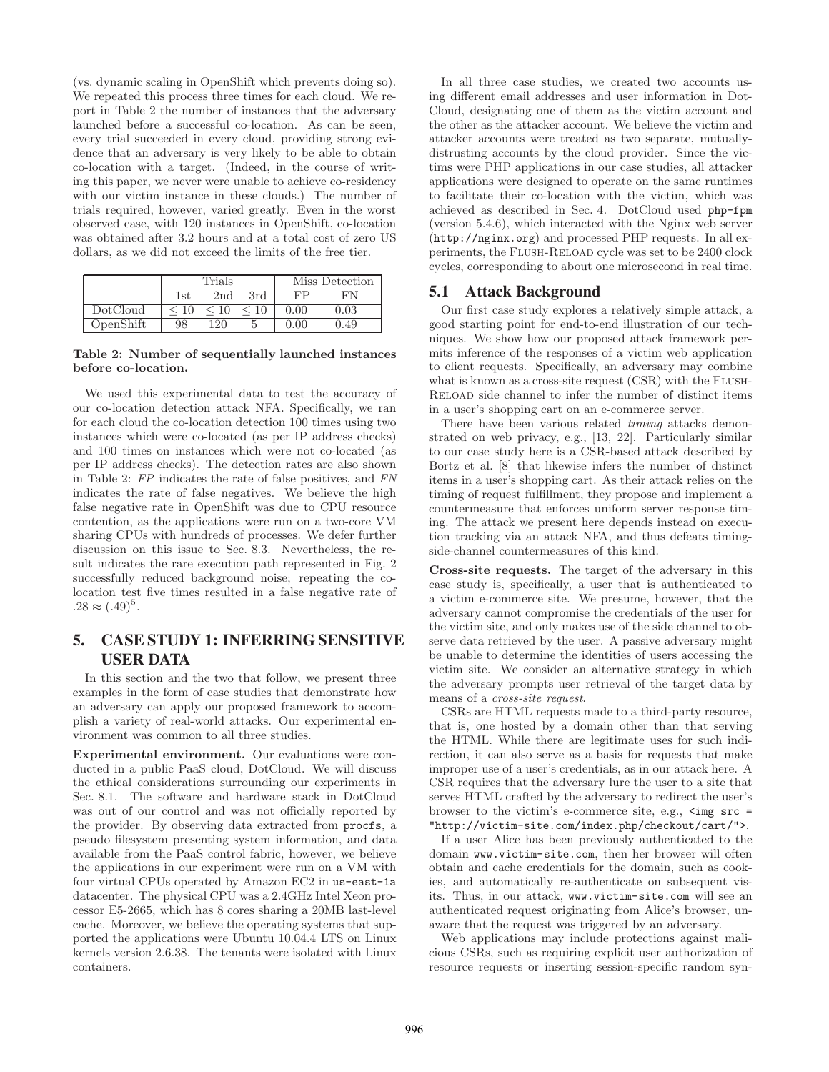(vs. dynamic scaling in OpenShift which prevents doing so). We repeated this process three times for each cloud. We report in Table 2 the number of instances that the adversary launched before a successful co-location. As can be seen, every trial succeeded in every cloud, providing strong evidence that an adversary is very likely to be able to obtain co-location with a target. (Indeed, in the course of writing this paper, we never were unable to achieve co-residency with our victim instance in these clouds.) The number of trials required, however, varied greatly. Even in the worst observed case, with 120 instances in OpenShift, co-location was obtained after 3.2 hours and at a total cost of zero US dollars, as we did not exceed the limits of the free tier.

|           |     | Trials          |           | Miss Detection |      |  |
|-----------|-----|-----------------|-----------|----------------|------|--|
|           | 1st | 2 <sub>nd</sub> | 3rd       | FP             |      |  |
| DotCloud  | ⊂10 |                 | $\leq 10$ | 0.00           | 0.03 |  |
| OpenShift | 98  | - 20 -          |           | 0.00           | 0.49 |  |

#### Table 2: Number of sequentially launched instances before co-location.

We used this experimental data to test the accuracy of our co-location detection attack NFA. Specifically, we ran for each cloud the co-location detection 100 times using two instances which were co-located (as per IP address checks) and 100 times on instances which were not co-located (as per IP address checks). The detection rates are also shown in Table 2: FP indicates the rate of false positives, and FN indicates the rate of false negatives. We believe the high false negative rate in OpenShift was due to CPU resource contention, as the applications were run on a two-core VM sharing CPUs with hundreds of processes. We defer further discussion on this issue to Sec. 8.3. Nevertheless, the result indicates the rare execution path represented in Fig. 2 successfully reduced background noise; repeating the colocation test five times resulted in a false negative rate of  $.28 \approx (.49)^5$ .

# 5. CASE STUDY 1: INFERRING SENSITIVE USER DATA

In this section and the two that follow, we present three examples in the form of case studies that demonstrate how an adversary can apply our proposed framework to accomplish a variety of real-world attacks. Our experimental environment was common to all three studies.

Experimental environment. Our evaluations were conducted in a public PaaS cloud, DotCloud. We will discuss the ethical considerations surrounding our experiments in Sec. 8.1. The software and hardware stack in DotCloud was out of our control and was not officially reported by the provider. By observing data extracted from procfs, a pseudo filesystem presenting system information, and data available from the PaaS control fabric, however, we believe the applications in our experiment were run on a VM with four virtual CPUs operated by Amazon EC2 in us-east-1a datacenter. The physical CPU was a 2.4GHz Intel Xeon processor E5-2665, which has 8 cores sharing a 20MB last-level cache. Moreover, we believe the operating systems that supported the applications were Ubuntu 10.04.4 LTS on Linux kernels version 2.6.38. The tenants were isolated with Linux containers.

In all three case studies, we created two accounts using different email addresses and user information in Dot-Cloud, designating one of them as the victim account and the other as the attacker account. We believe the victim and attacker accounts were treated as two separate, mutuallydistrusting accounts by the cloud provider. Since the victims were PHP applications in our case studies, all attacker applications were designed to operate on the same runtimes to facilitate their co-location with the victim, which was achieved as described in Sec. 4. DotCloud used php-fpm (version 5.4.6), which interacted with the Nginx web server (http://nginx.org) and processed PHP requests. In all experiments, the Flush-Reload cycle was set to be 2400 clock cycles, corresponding to about one microsecond in real time.

# 5.1 Attack Background

Our first case study explores a relatively simple attack, a good starting point for end-to-end illustration of our techniques. We show how our proposed attack framework permits inference of the responses of a victim web application to client requests. Specifically, an adversary may combine what is known as a cross-site request (CSR) with the FLUSH-Reload side channel to infer the number of distinct items in a user's shopping cart on an e-commerce server.

There have been various related timing attacks demonstrated on web privacy, e.g., [13, 22]. Particularly similar to our case study here is a CSR-based attack described by Bortz et al. [8] that likewise infers the number of distinct items in a user's shopping cart. As their attack relies on the timing of request fulfillment, they propose and implement a countermeasure that enforces uniform server response timing. The attack we present here depends instead on execution tracking via an attack NFA, and thus defeats timingside-channel countermeasures of this kind.

Cross-site requests. The target of the adversary in this case study is, specifically, a user that is authenticated to a victim e-commerce site. We presume, however, that the adversary cannot compromise the credentials of the user for the victim site, and only makes use of the side channel to observe data retrieved by the user. A passive adversary might be unable to determine the identities of users accessing the victim site. We consider an alternative strategy in which the adversary prompts user retrieval of the target data by means of a cross-site request.

CSRs are HTML requests made to a third-party resource, that is, one hosted by a domain other than that serving the HTML. While there are legitimate uses for such indirection, it can also serve as a basis for requests that make improper use of a user's credentials, as in our attack here. A CSR requires that the adversary lure the user to a site that serves HTML crafted by the adversary to redirect the user's browser to the victim's e-commerce site, e.g.,  $\langle \text{img src} =$ "http://victim-site.com/index.php/checkout/cart/">.

If a user Alice has been previously authenticated to the domain www.victim-site.com, then her browser will often obtain and cache credentials for the domain, such as cookies, and automatically re-authenticate on subsequent visits. Thus, in our attack, www.victim-site.com will see an authenticated request originating from Alice's browser, unaware that the request was triggered by an adversary.

Web applications may include protections against malicious CSRs, such as requiring explicit user authorization of resource requests or inserting session-specific random syn-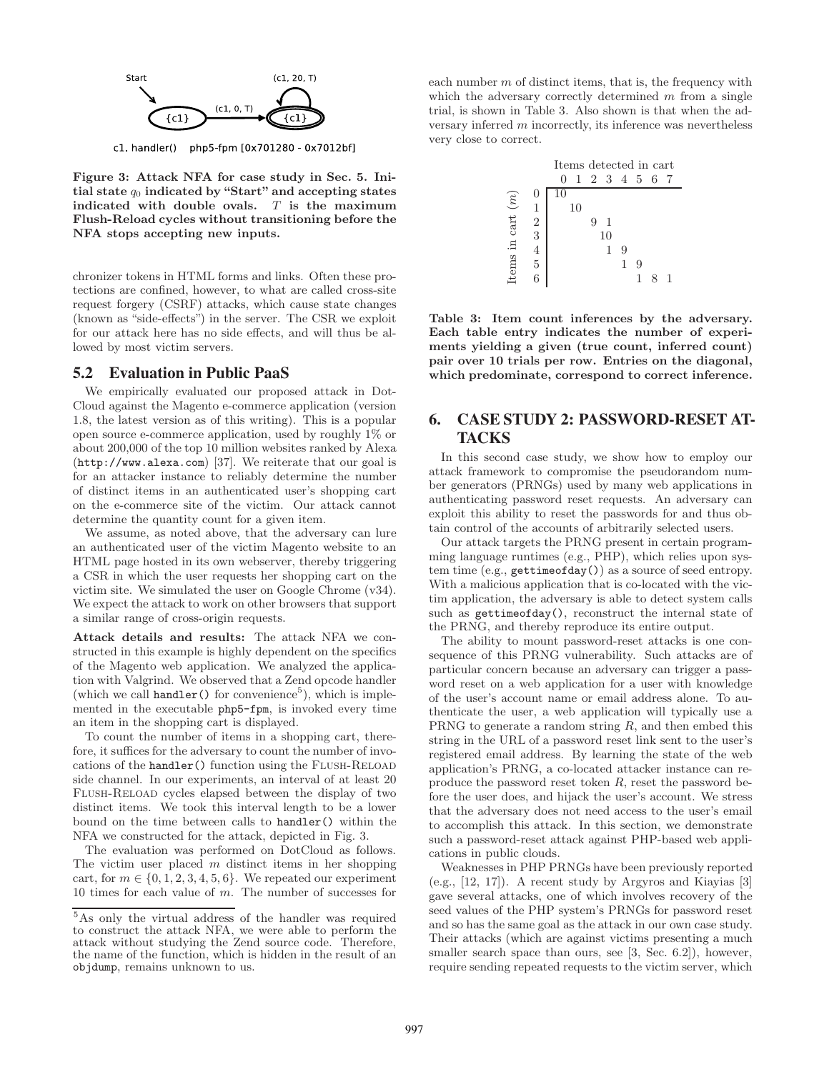

c1. handler() php5-fpm [0x701280 - 0x7012bf]

Figure 3: Attack NFA for case study in Sec. 5. Initial state  $q_0$  indicated by "Start" and accepting states indicated with double ovals.  $T$  is the maximum Flush-Reload cycles without transitioning before the NFA stops accepting new inputs.

chronizer tokens in HTML forms and links. Often these protections are confined, however, to what are called cross-site request forgery (CSRF) attacks, which cause state changes (known as "side-effects") in the server. The CSR we exploit for our attack here has no side effects, and will thus be allowed by most victim servers.

### 5.2 Evaluation in Public PaaS

We empirically evaluated our proposed attack in Dot-Cloud against the Magento e-commerce application (version 1.8, the latest version as of this writing). This is a popular open source e-commerce application, used by roughly 1% or about 200,000 of the top 10 million websites ranked by Alexa (http://www.alexa.com) [37]. We reiterate that our goal is for an attacker instance to reliably determine the number of distinct items in an authenticated user's shopping cart on the e-commerce site of the victim. Our attack cannot determine the quantity count for a given item.

We assume, as noted above, that the adversary can lure an authenticated user of the victim Magento website to an HTML page hosted in its own webserver, thereby triggering a CSR in which the user requests her shopping cart on the victim site. We simulated the user on Google Chrome (v34). We expect the attack to work on other browsers that support a similar range of cross-origin requests.

Attack details and results: The attack NFA we constructed in this example is highly dependent on the specifics of the Magento web application. We analyzed the application with Valgrind. We observed that a Zend opcode handler (which we call handler () for convenience<sup>5</sup>), which is implemented in the executable php5-fpm, is invoked every time an item in the shopping cart is displayed.

To count the number of items in a shopping cart, therefore, it suffices for the adversary to count the number of invocations of the handler() function using the FLUSH-RELOAD side channel. In our experiments, an interval of at least 20 Flush-Reload cycles elapsed between the display of two distinct items. We took this interval length to be a lower bound on the time between calls to handler() within the NFA we constructed for the attack, depicted in Fig. 3.

The evaluation was performed on DotCloud as follows. The victim user placed  $m$  distinct items in her shopping cart, for  $m \in \{0, 1, 2, 3, 4, 5, 6\}$ . We repeated our experiment 10 times for each value of m. The number of successes for each number  $m$  of distinct items, that is, the frequency with which the adversary correctly determined  $m$  from a single trial, is shown in Table 3. Also shown is that when the adversary inferred  $m$  incorrectly, its inference was nevertheless very close to correct.

|                     |               | Items detected in cart<br>$\theta$ |    |   | 1 2 3 4 5 6 |   |   | 7 |  |
|---------------------|---------------|------------------------------------|----|---|-------------|---|---|---|--|
|                     | 0             | $\left( \right)$                   |    |   |             |   |   |   |  |
|                     | 1             |                                    | 10 |   |             |   |   |   |  |
| Items in cart $(m)$ | $\frac{2}{3}$ |                                    |    | 9 | 1           |   |   |   |  |
|                     |               |                                    |    |   | 10          |   |   |   |  |
|                     |               |                                    |    |   | 1           | 9 |   |   |  |
|                     | $\frac{4}{5}$ |                                    |    |   |             |   | 9 |   |  |
|                     | 6             |                                    |    |   |             |   |   |   |  |

Table 3: Item count inferences by the adversary. Each table entry indicates the number of experiments yielding a given (true count, inferred count) pair over 10 trials per row. Entries on the diagonal, which predominate, correspond to correct inference.

# 6. CASE STUDY 2: PASSWORD-RESET AT-TACKS

In this second case study, we show how to employ our attack framework to compromise the pseudorandom number generators (PRNGs) used by many web applications in authenticating password reset requests. An adversary can exploit this ability to reset the passwords for and thus obtain control of the accounts of arbitrarily selected users.

Our attack targets the PRNG present in certain programming language runtimes (e.g., PHP), which relies upon system time (e.g., gettimeofday()) as a source of seed entropy. With a malicious application that is co-located with the victim application, the adversary is able to detect system calls such as gettimeofday(), reconstruct the internal state of the PRNG, and thereby reproduce its entire output.

The ability to mount password-reset attacks is one consequence of this PRNG vulnerability. Such attacks are of particular concern because an adversary can trigger a password reset on a web application for a user with knowledge of the user's account name or email address alone. To authenticate the user, a web application will typically use a PRNG to generate a random string  $R$ , and then embed this string in the URL of a password reset link sent to the user's registered email address. By learning the state of the web application's PRNG, a co-located attacker instance can reproduce the password reset token R, reset the password before the user does, and hijack the user's account. We stress that the adversary does not need access to the user's email to accomplish this attack. In this section, we demonstrate such a password-reset attack against PHP-based web applications in public clouds.

Weaknesses in PHP PRNGs have been previously reported (e.g., [12, 17]). A recent study by Argyros and Kiayias [3] gave several attacks, one of which involves recovery of the seed values of the PHP system's PRNGs for password reset and so has the same goal as the attack in our own case study. Their attacks (which are against victims presenting a much smaller search space than ours, see [3, Sec. 6.2]), however, require sending repeated requests to the victim server, which

<sup>5</sup>As only the virtual address of the handler was required to construct the attack NFA, we were able to perform the attack without studying the Zend source code. Therefore, the name of the function, which is hidden in the result of an objdump, remains unknown to us.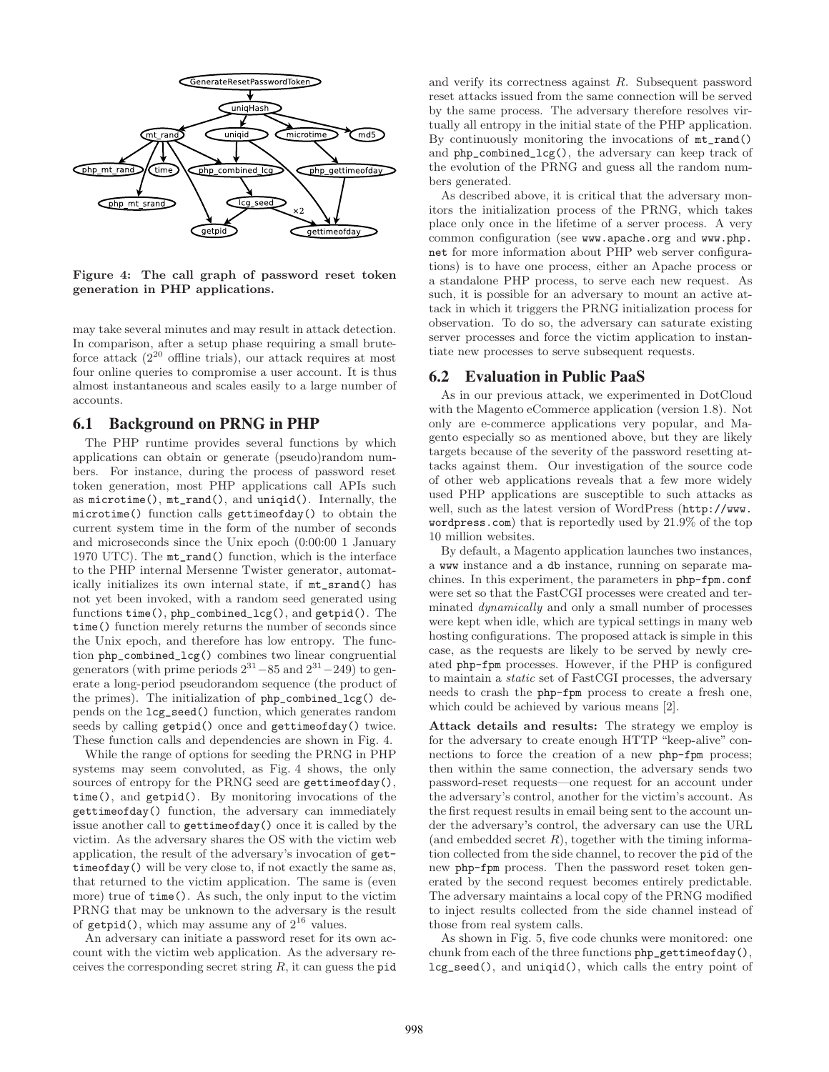

Figure 4: The call graph of password reset token generation in PHP applications.

may take several minutes and may result in attack detection. In comparison, after a setup phase requiring a small bruteforce attack  $(2^{20}$  offline trials), our attack requires at most four online queries to compromise a user account. It is thus almost instantaneous and scales easily to a large number of accounts.

# 6.1 Background on PRNG in PHP

The PHP runtime provides several functions by which applications can obtain or generate (pseudo)random numbers. For instance, during the process of password reset token generation, most PHP applications call APIs such as microtime(), mt\_rand(), and uniqid(). Internally, the microtime() function calls gettimeofday() to obtain the current system time in the form of the number of seconds and microseconds since the Unix epoch (0:00:00 1 January 1970 UTC). The mt\_rand() function, which is the interface to the PHP internal Mersenne Twister generator, automatically initializes its own internal state, if mt\_srand() has not yet been invoked, with a random seed generated using functions time(), php\_combined\_lcg(), and getpid(). The time() function merely returns the number of seconds since the Unix epoch, and therefore has low entropy. The function php\_combined\_lcg() combines two linear congruential generators (with prime periods  $2^{31} - 85$  and  $2^{31} - 249$ ) to generate a long-period pseudorandom sequence (the product of the primes). The initialization of php\_combined\_lcg() depends on the lcg\_seed() function, which generates random seeds by calling getpid() once and gettimeofday() twice. These function calls and dependencies are shown in Fig. 4.

While the range of options for seeding the PRNG in PHP systems may seem convoluted, as Fig. 4 shows, the only sources of entropy for the PRNG seed are gettimeofday(), time(), and getpid(). By monitoring invocations of the gettimeofday() function, the adversary can immediately issue another call to gettimeofday() once it is called by the victim. As the adversary shares the OS with the victim web application, the result of the adversary's invocation of gettimeofday() will be very close to, if not exactly the same as, that returned to the victim application. The same is (even more) true of time(). As such, the only input to the victim PRNG that may be unknown to the adversary is the result of  $getpid()$ , which may assume any of  $2^{16}$  values.

An adversary can initiate a password reset for its own account with the victim web application. As the adversary receives the corresponding secret string  $R$ , it can guess the pid and verify its correctness against R. Subsequent password reset attacks issued from the same connection will be served by the same process. The adversary therefore resolves virtually all entropy in the initial state of the PHP application. By continuously monitoring the invocations of mt\_rand() and php\_combined\_lcg(), the adversary can keep track of the evolution of the PRNG and guess all the random numbers generated.

As described above, it is critical that the adversary monitors the initialization process of the PRNG, which takes place only once in the lifetime of a server process. A very common configuration (see www.apache.org and www.php. net for more information about PHP web server configurations) is to have one process, either an Apache process or a standalone PHP process, to serve each new request. As such, it is possible for an adversary to mount an active attack in which it triggers the PRNG initialization process for observation. To do so, the adversary can saturate existing server processes and force the victim application to instantiate new processes to serve subsequent requests.

## 6.2 Evaluation in Public PaaS

As in our previous attack, we experimented in DotCloud with the Magento eCommerce application (version 1.8). Not only are e-commerce applications very popular, and Magento especially so as mentioned above, but they are likely targets because of the severity of the password resetting attacks against them. Our investigation of the source code of other web applications reveals that a few more widely used PHP applications are susceptible to such attacks as well, such as the latest version of WordPress (http://www. wordpress.com) that is reportedly used by 21.9% of the top 10 million websites.

By default, a Magento application launches two instances, a www instance and a db instance, running on separate machines. In this experiment, the parameters in php-fpm.conf were set so that the FastCGI processes were created and terminated dynamically and only a small number of processes were kept when idle, which are typical settings in many web hosting configurations. The proposed attack is simple in this case, as the requests are likely to be served by newly created php-fpm processes. However, if the PHP is configured to maintain a static set of FastCGI processes, the adversary needs to crash the php-fpm process to create a fresh one, which could be achieved by various means [2].

Attack details and results: The strategy we employ is for the adversary to create enough HTTP "keep-alive" connections to force the creation of a new php-fpm process; then within the same connection, the adversary sends two password-reset requests—one request for an account under the adversary's control, another for the victim's account. As the first request results in email being sent to the account under the adversary's control, the adversary can use the URL (and embedded secret  $R$ ), together with the timing information collected from the side channel, to recover the pid of the new php-fpm process. Then the password reset token generated by the second request becomes entirely predictable. The adversary maintains a local copy of the PRNG modified to inject results collected from the side channel instead of those from real system calls.

As shown in Fig. 5, five code chunks were monitored: one chunk from each of the three functions php\_gettimeofday(), lcg\_seed(), and uniqid(), which calls the entry point of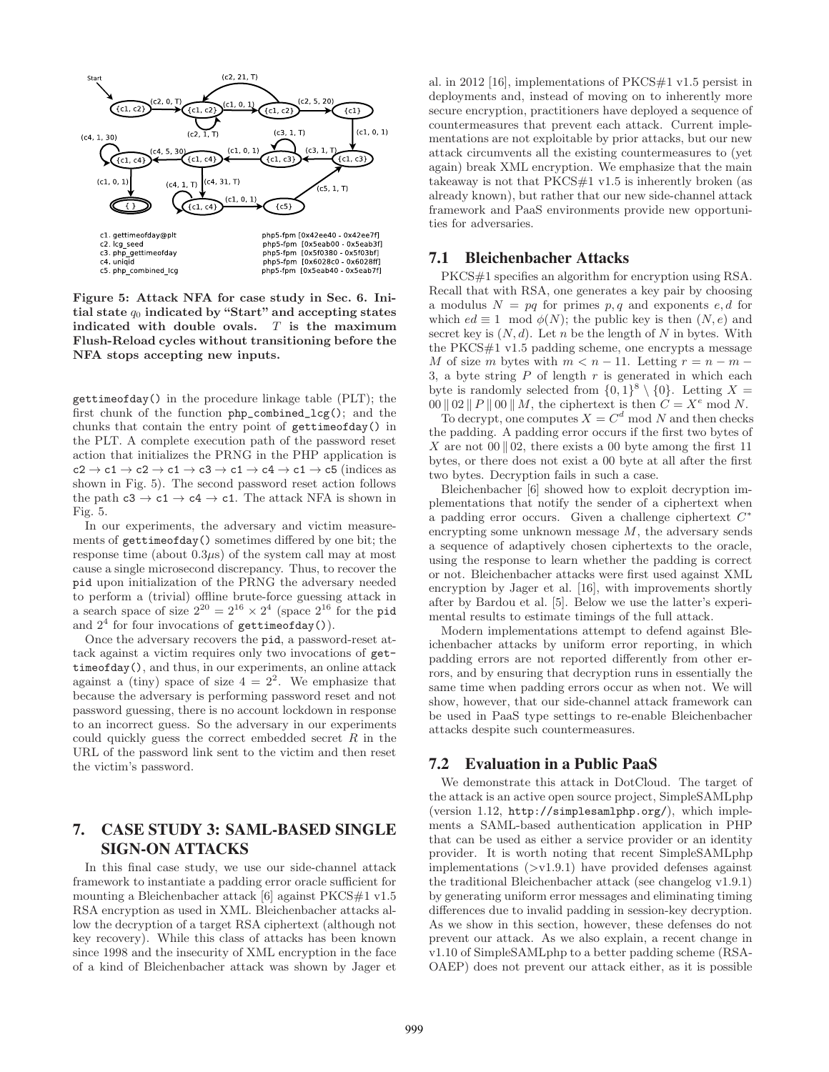

Figure 5: Attack NFA for case study in Sec. 6. Initial state  $q_0$  indicated by "Start" and accepting states indicated with double ovals.  $T$  is the maximum Flush-Reload cycles without transitioning before the NFA stops accepting new inputs.

gettimeofday() in the procedure linkage table (PLT); the first chunk of the function php\_combined\_lcg(); and the chunks that contain the entry point of gettimeofday() in the PLT. A complete execution path of the password reset action that initializes the PRNG in the PHP application is  $c2 \rightarrow c1 \rightarrow c2 \rightarrow c1 \rightarrow c3 \rightarrow c1 \rightarrow c4 \rightarrow c1 \rightarrow c5$  (indices as shown in Fig. 5). The second password reset action follows the path  $c3 \rightarrow c1 \rightarrow c4 \rightarrow c1$ . The attack NFA is shown in Fig. 5.

In our experiments, the adversary and victim measurements of gettimeofday() sometimes differed by one bit; the response time (about  $0.3\mu s$ ) of the system call may at most cause a single microsecond discrepancy. Thus, to recover the pid upon initialization of the PRNG the adversary needed to perform a (trivial) offline brute-force guessing attack in a search space of size  $2^{20} = 2^{16} \times 2^4$  (space  $2^{16}$  for the pid and  $2^4$  for four invocations of gettimeofday()).

Once the adversary recovers the pid, a password-reset attack against a victim requires only two invocations of gettimeofday(), and thus, in our experiments, an online attack against a (tiny) space of size  $4 = 2^2$ . We emphasize that because the adversary is performing password reset and not password guessing, there is no account lockdown in response to an incorrect guess. So the adversary in our experiments could quickly guess the correct embedded secret  $R$  in the URL of the password link sent to the victim and then reset the victim's password.

# 7. CASE STUDY 3: SAML-BASED SINGLE SIGN-ON ATTACKS

In this final case study, we use our side-channel attack framework to instantiate a padding error oracle sufficient for mounting a Bleichenbacher attack [6] against PKCS#1 v1.5 RSA encryption as used in XML. Bleichenbacher attacks allow the decryption of a target RSA ciphertext (although not key recovery). While this class of attacks has been known since 1998 and the insecurity of XML encryption in the face of a kind of Bleichenbacher attack was shown by Jager et al. in 2012 [16], implementations of PKCS#1 v1.5 persist in deployments and, instead of moving on to inherently more secure encryption, practitioners have deployed a sequence of countermeasures that prevent each attack. Current implementations are not exploitable by prior attacks, but our new attack circumvents all the existing countermeasures to (yet again) break XML encryption. We emphasize that the main takeaway is not that PKCS#1 v1.5 is inherently broken (as already known), but rather that our new side-channel attack framework and PaaS environments provide new opportunities for adversaries.

#### 7.1 Bleichenbacher Attacks

PKCS#1 specifies an algorithm for encryption using RSA. Recall that with RSA, one generates a key pair by choosing a modulus  $N = pq$  for primes p, q and exponents e, d for which  $ed \equiv 1 \mod \phi(N)$ ; the public key is then  $(N, e)$  and secret key is  $(N, d)$ . Let n be the length of N in bytes. With the PKCS#1 v1.5 padding scheme, one encrypts a message M of size m bytes with  $m < n - 11$ . Letting  $r = n - m$ 3, a byte string  $P$  of length  $r$  is generated in which each byte is randomly selected from  $\{0,1\}^8 \setminus \{0\}$ . Letting  $X =$  $00 \parallel 02 \parallel P \parallel 00 \parallel M$ , the ciphertext is then  $C = X^e \mod N$ .

To decrypt, one computes  $X = C^d$  mod N and then checks the padding. A padding error occurs if the first two bytes of X are not 00 || 02, there exists a 00 byte among the first 11 bytes, or there does not exist a 00 byte at all after the first two bytes. Decryption fails in such a case.

Bleichenbacher [6] showed how to exploit decryption implementations that notify the sender of a ciphertext when a padding error occurs. Given a challenge ciphertext  $C^*$ encrypting some unknown message  $M$ , the adversary sends a sequence of adaptively chosen ciphertexts to the oracle, using the response to learn whether the padding is correct or not. Bleichenbacher attacks were first used against XML encryption by Jager et al. [16], with improvements shortly after by Bardou et al. [5]. Below we use the latter's experimental results to estimate timings of the full attack.

Modern implementations attempt to defend against Bleichenbacher attacks by uniform error reporting, in which padding errors are not reported differently from other errors, and by ensuring that decryption runs in essentially the same time when padding errors occur as when not. We will show, however, that our side-channel attack framework can be used in PaaS type settings to re-enable Bleichenbacher attacks despite such countermeasures.

## 7.2 Evaluation in a Public PaaS

We demonstrate this attack in DotCloud. The target of the attack is an active open source project, SimpleSAMLphp (version 1.12, http://simplesamlphp.org/), which implements a SAML-based authentication application in PHP that can be used as either a service provider or an identity provider. It is worth noting that recent SimpleSAMLphp implementations  $(>v1.9.1)$  have provided defenses against the traditional Bleichenbacher attack (see changelog v1.9.1) by generating uniform error messages and eliminating timing differences due to invalid padding in session-key decryption. As we show in this section, however, these defenses do not prevent our attack. As we also explain, a recent change in v1.10 of SimpleSAMLphp to a better padding scheme (RSA-OAEP) does not prevent our attack either, as it is possible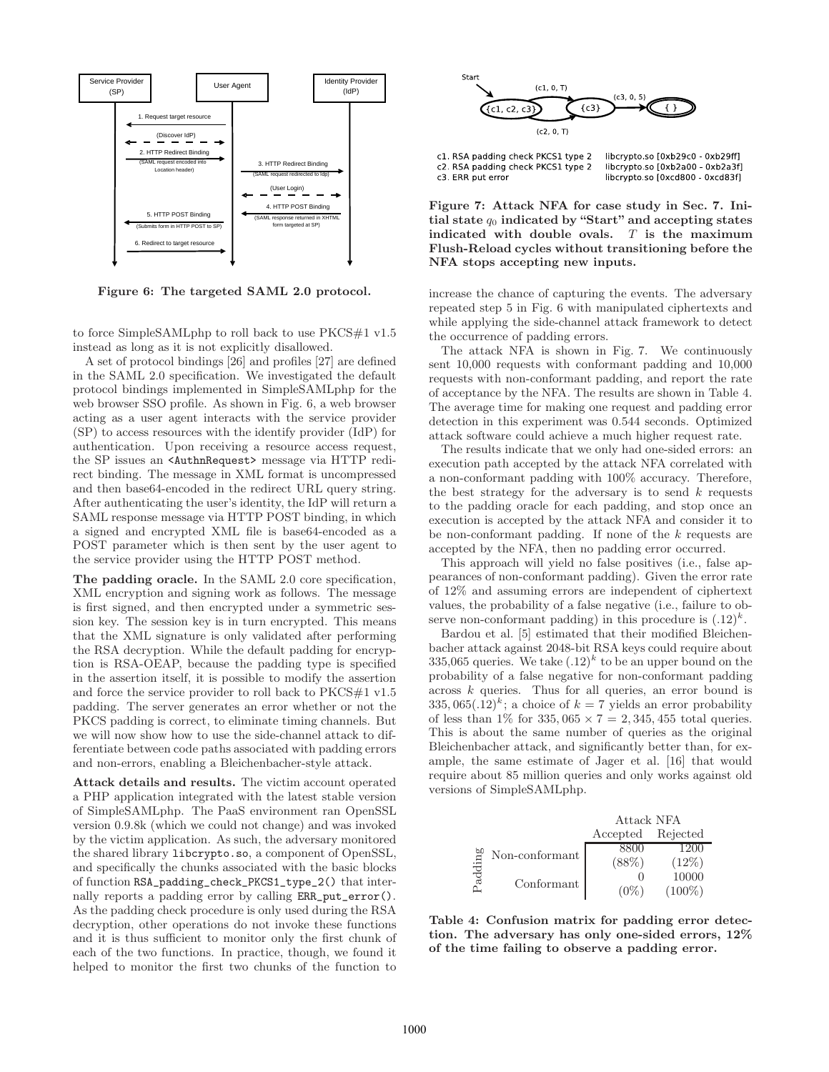

Figure 6: The targeted SAML 2.0 protocol.

to force SimpleSAMLphp to roll back to use PKCS#1 v1.5 instead as long as it is not explicitly disallowed.

A set of protocol bindings [26] and profiles [27] are defined in the SAML 2.0 specification. We investigated the default protocol bindings implemented in SimpleSAMLphp for the web browser SSO profile. As shown in Fig. 6, a web browser acting as a user agent interacts with the service provider (SP) to access resources with the identify provider (IdP) for authentication. Upon receiving a resource access request, the SP issues an <AuthnRequest> message via HTTP redirect binding. The message in XML format is uncompressed and then base64-encoded in the redirect URL query string. After authenticating the user's identity, the IdP will return a SAML response message via HTTP POST binding, in which a signed and encrypted XML file is base64-encoded as a POST parameter which is then sent by the user agent to the service provider using the HTTP POST method.

The padding oracle. In the SAML 2.0 core specification, XML encryption and signing work as follows. The message is first signed, and then encrypted under a symmetric session key. The session key is in turn encrypted. This means that the XML signature is only validated after performing the RSA decryption. While the default padding for encryption is RSA-OEAP, because the padding type is specified in the assertion itself, it is possible to modify the assertion and force the service provider to roll back to  $PKCS#1$  v1.5 padding. The server generates an error whether or not the PKCS padding is correct, to eliminate timing channels. But we will now show how to use the side-channel attack to differentiate between code paths associated with padding errors and non-errors, enabling a Bleichenbacher-style attack.

Attack details and results. The victim account operated a PHP application integrated with the latest stable version of SimpleSAMLphp. The PaaS environment ran OpenSSL version 0.9.8k (which we could not change) and was invoked by the victim application. As such, the adversary monitored the shared library libcrypto.so, a component of OpenSSL, and specifically the chunks associated with the basic blocks of function RSA\_padding\_check\_PKCS1\_type\_2() that internally reports a padding error by calling ERR\_put\_error(). As the padding check procedure is only used during the RSA decryption, other operations do not invoke these functions and it is thus sufficient to monitor only the first chunk of each of the two functions. In practice, though, we found it helped to monitor the first two chunks of the function to



| c1. RSA padding check PKCS1 type 2 | libcrypto so [0xb29c0 - 0xb29ff] |
|------------------------------------|----------------------------------|
| c2. RSA padding check PKCS1 type 2 | libcrypto so [0xb2a00 - 0xb2a3f] |
| :3 ERR put error                   | libcrypto.so [0xcd800 - 0xcd83f] |

Figure 7: Attack NFA for case study in Sec. 7. Initial state  $q_0$  indicated by "Start" and accepting states indicated with double ovals. T is the maximum Flush-Reload cycles without transitioning before the NFA stops accepting new inputs.

increase the chance of capturing the events. The adversary repeated step 5 in Fig. 6 with manipulated ciphertexts and while applying the side-channel attack framework to detect the occurrence of padding errors.

The attack NFA is shown in Fig. 7. We continuously sent 10,000 requests with conformant padding and 10,000 requests with non-conformant padding, and report the rate of acceptance by the NFA. The results are shown in Table 4. The average time for making one request and padding error detection in this experiment was 0.544 seconds. Optimized attack software could achieve a much higher request rate.

The results indicate that we only had one-sided errors: an execution path accepted by the attack NFA correlated with a non-conformant padding with 100% accuracy. Therefore, the best strategy for the adversary is to send  $k$  requests to the padding oracle for each padding, and stop once an execution is accepted by the attack NFA and consider it to be non-conformant padding. If none of the k requests are accepted by the NFA, then no padding error occurred.

This approach will yield no false positives (i.e., false appearances of non-conformant padding). Given the error rate of 12% and assuming errors are independent of ciphertext values, the probability of a false negative (i.e., failure to observe non-conformant padding) in this procedure is  $(.12)^k$ .

Bardou et al. [5] estimated that their modified Bleichenbacher attack against 2048-bit RSA keys could require about 335,065 queries. We take  $(.12)^k$  to be an upper bound on the probability of a false negative for non-conformant padding across k queries. Thus for all queries, an error bound is 335, 065 $(.12)^k$ ; a choice of  $k = 7$  yields an error probability of less than 1% for 335, 065  $\times$  7 = 2, 345, 455 total queries. This is about the same number of queries as the original Bleichenbacher attack, and significantly better than, for example, the same estimate of Jager et al. [16] that would require about 85 million queries and only works against old versions of SimpleSAMLphp.



Table 4: Confusion matrix for padding error detection. The adversary has only one-sided errors, 12% of the time failing to observe a padding error.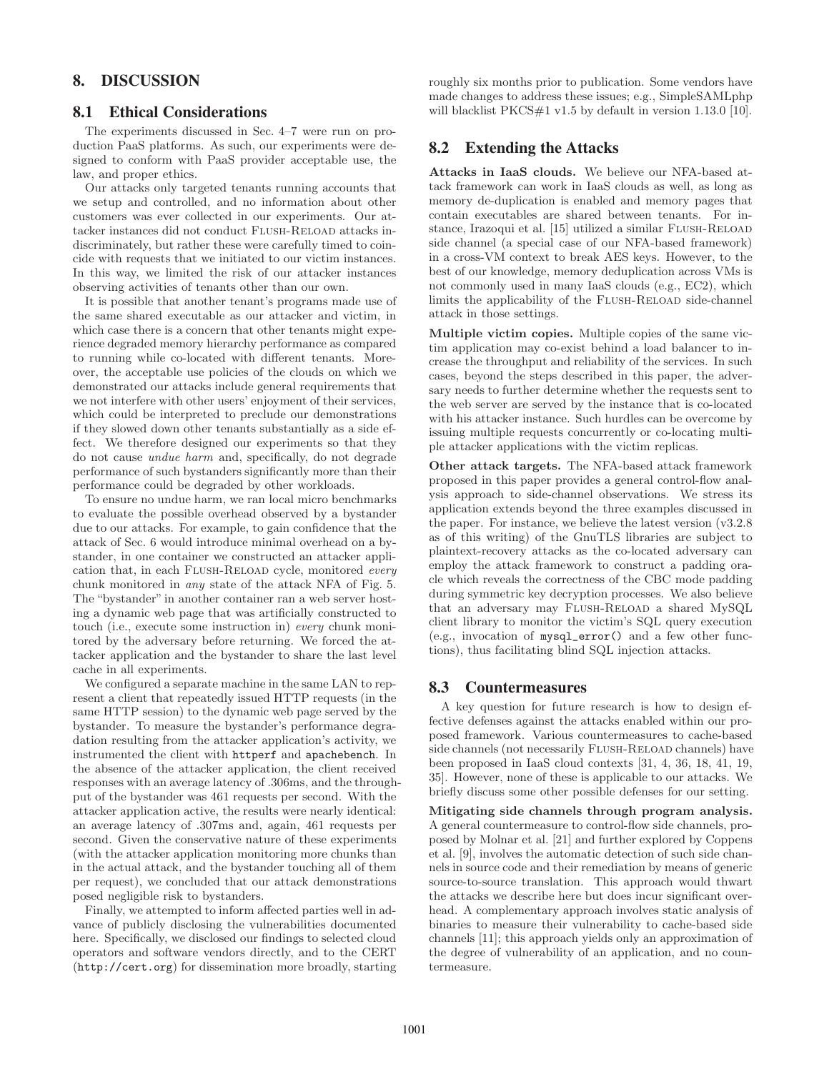# 8. DISCUSSION

# 8.1 Ethical Considerations

The experiments discussed in Sec. 4–7 were run on production PaaS platforms. As such, our experiments were designed to conform with PaaS provider acceptable use, the law, and proper ethics.

Our attacks only targeted tenants running accounts that we setup and controlled, and no information about other customers was ever collected in our experiments. Our attacker instances did not conduct Flush-Reload attacks indiscriminately, but rather these were carefully timed to coincide with requests that we initiated to our victim instances. In this way, we limited the risk of our attacker instances observing activities of tenants other than our own.

It is possible that another tenant's programs made use of the same shared executable as our attacker and victim, in which case there is a concern that other tenants might experience degraded memory hierarchy performance as compared to running while co-located with different tenants. Moreover, the acceptable use policies of the clouds on which we demonstrated our attacks include general requirements that we not interfere with other users' enjoyment of their services, which could be interpreted to preclude our demonstrations if they slowed down other tenants substantially as a side effect. We therefore designed our experiments so that they do not cause undue harm and, specifically, do not degrade performance of such bystanders significantly more than their performance could be degraded by other workloads.

To ensure no undue harm, we ran local micro benchmarks to evaluate the possible overhead observed by a bystander due to our attacks. For example, to gain confidence that the attack of Sec. 6 would introduce minimal overhead on a bystander, in one container we constructed an attacker application that, in each FLUSH-RELOAD cycle, monitored every chunk monitored in any state of the attack NFA of Fig. 5. The "bystander" in another container ran a web server hosting a dynamic web page that was artificially constructed to touch (i.e., execute some instruction in) every chunk monitored by the adversary before returning. We forced the attacker application and the bystander to share the last level cache in all experiments.

We configured a separate machine in the same LAN to represent a client that repeatedly issued HTTP requests (in the same HTTP session) to the dynamic web page served by the bystander. To measure the bystander's performance degradation resulting from the attacker application's activity, we instrumented the client with httperf and apachebench. In the absence of the attacker application, the client received responses with an average latency of .306ms, and the throughput of the bystander was 461 requests per second. With the attacker application active, the results were nearly identical: an average latency of .307ms and, again, 461 requests per second. Given the conservative nature of these experiments (with the attacker application monitoring more chunks than in the actual attack, and the bystander touching all of them per request), we concluded that our attack demonstrations posed negligible risk to bystanders.

Finally, we attempted to inform affected parties well in advance of publicly disclosing the vulnerabilities documented here. Specifically, we disclosed our findings to selected cloud operators and software vendors directly, and to the CERT (http://cert.org) for dissemination more broadly, starting roughly six months prior to publication. Some vendors have made changes to address these issues; e.g., SimpleSAMLphp will blacklist PKCS#1 v1.5 by default in version 1.13.0 [10].

# 8.2 Extending the Attacks

Attacks in IaaS clouds. We believe our NFA-based attack framework can work in IaaS clouds as well, as long as memory de-duplication is enabled and memory pages that contain executables are shared between tenants. For instance, Irazoqui et al. [15] utilized a similar FLUSH-RELOAD side channel (a special case of our NFA-based framework) in a cross-VM context to break AES keys. However, to the best of our knowledge, memory deduplication across VMs is not commonly used in many IaaS clouds (e.g., EC2), which limits the applicability of the FLUSH-RELOAD side-channel attack in those settings.

Multiple victim copies. Multiple copies of the same victim application may co-exist behind a load balancer to increase the throughput and reliability of the services. In such cases, beyond the steps described in this paper, the adversary needs to further determine whether the requests sent to the web server are served by the instance that is co-located with his attacker instance. Such hurdles can be overcome by issuing multiple requests concurrently or co-locating multiple attacker applications with the victim replicas.

Other attack targets. The NFA-based attack framework proposed in this paper provides a general control-flow analysis approach to side-channel observations. We stress its application extends beyond the three examples discussed in the paper. For instance, we believe the latest version (v3.2.8 as of this writing) of the GnuTLS libraries are subject to plaintext-recovery attacks as the co-located adversary can employ the attack framework to construct a padding oracle which reveals the correctness of the CBC mode padding during symmetric key decryption processes. We also believe that an adversary may Flush-Reload a shared MySQL client library to monitor the victim's SQL query execution (e.g., invocation of mysql\_error() and a few other functions), thus facilitating blind SQL injection attacks.

## 8.3 Countermeasures

A key question for future research is how to design effective defenses against the attacks enabled within our proposed framework. Various countermeasures to cache-based side channels (not necessarily FLUSH-RELOAD channels) have been proposed in IaaS cloud contexts [31, 4, 36, 18, 41, 19, 35]. However, none of these is applicable to our attacks. We briefly discuss some other possible defenses for our setting.

Mitigating side channels through program analysis. A general countermeasure to control-flow side channels, proposed by Molnar et al. [21] and further explored by Coppens et al. [9], involves the automatic detection of such side channels in source code and their remediation by means of generic source-to-source translation. This approach would thwart the attacks we describe here but does incur significant overhead. A complementary approach involves static analysis of binaries to measure their vulnerability to cache-based side channels [11]; this approach yields only an approximation of the degree of vulnerability of an application, and no countermeasure.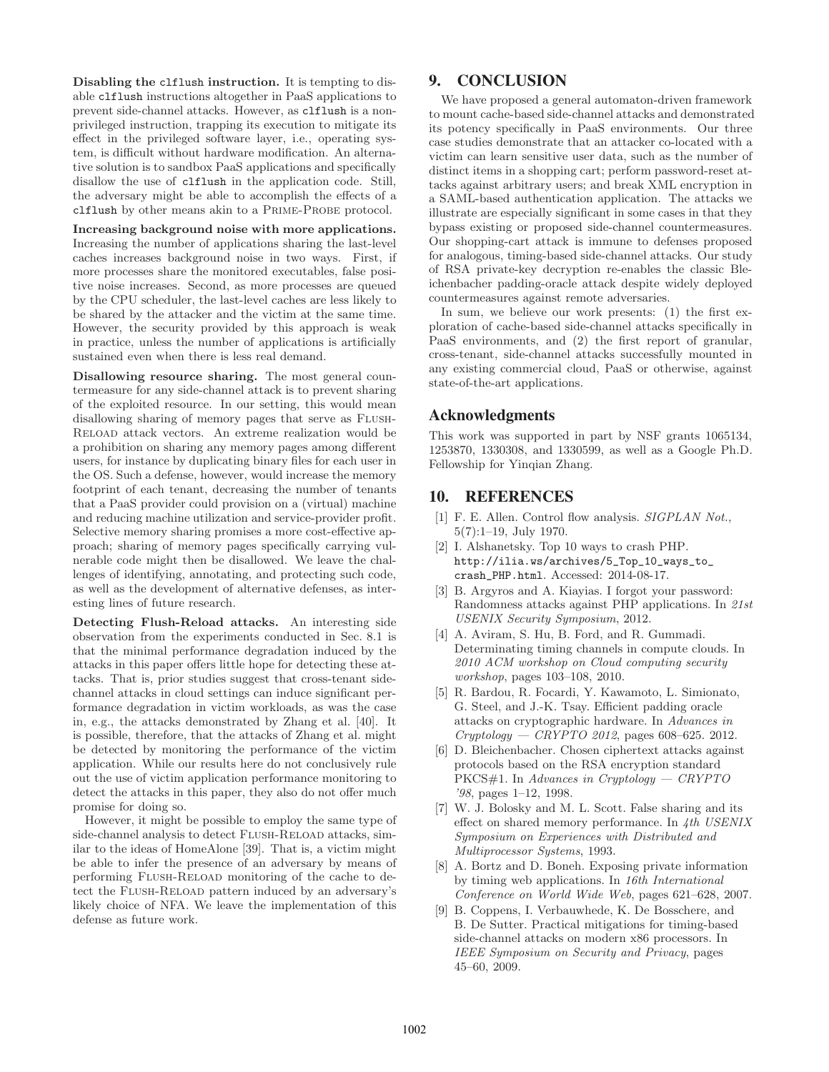Disabling the clflush instruction. It is tempting to disable clflush instructions altogether in PaaS applications to prevent side-channel attacks. However, as clflush is a nonprivileged instruction, trapping its execution to mitigate its effect in the privileged software layer, i.e., operating system, is difficult without hardware modification. An alternative solution is to sandbox PaaS applications and specifically disallow the use of clflush in the application code. Still, the adversary might be able to accomplish the effects of a clflush by other means akin to a PRIME-PROBE protocol.

Increasing background noise with more applications. Increasing the number of applications sharing the last-level caches increases background noise in two ways. First, if more processes share the monitored executables, false positive noise increases. Second, as more processes are queued by the CPU scheduler, the last-level caches are less likely to be shared by the attacker and the victim at the same time. However, the security provided by this approach is weak in practice, unless the number of applications is artificially sustained even when there is less real demand.

Disallowing resource sharing. The most general countermeasure for any side-channel attack is to prevent sharing of the exploited resource. In our setting, this would mean disallowing sharing of memory pages that serve as FLUSH-Reload attack vectors. An extreme realization would be a prohibition on sharing any memory pages among different users, for instance by duplicating binary files for each user in the OS. Such a defense, however, would increase the memory footprint of each tenant, decreasing the number of tenants that a PaaS provider could provision on a (virtual) machine and reducing machine utilization and service-provider profit. Selective memory sharing promises a more cost-effective approach; sharing of memory pages specifically carrying vulnerable code might then be disallowed. We leave the challenges of identifying, annotating, and protecting such code, as well as the development of alternative defenses, as interesting lines of future research.

Detecting Flush-Reload attacks. An interesting side observation from the experiments conducted in Sec. 8.1 is that the minimal performance degradation induced by the attacks in this paper offers little hope for detecting these attacks. That is, prior studies suggest that cross-tenant sidechannel attacks in cloud settings can induce significant performance degradation in victim workloads, as was the case in, e.g., the attacks demonstrated by Zhang et al. [40]. It is possible, therefore, that the attacks of Zhang et al. might be detected by monitoring the performance of the victim application. While our results here do not conclusively rule out the use of victim application performance monitoring to detect the attacks in this paper, they also do not offer much promise for doing so.

However, it might be possible to employ the same type of side-channel analysis to detect FLUSH-RELOAD attacks, similar to the ideas of HomeAlone [39]. That is, a victim might be able to infer the presence of an adversary by means of performing Flush-Reload monitoring of the cache to detect the Flush-Reload pattern induced by an adversary's likely choice of NFA. We leave the implementation of this defense as future work.

# 9. CONCLUSION

We have proposed a general automaton-driven framework to mount cache-based side-channel attacks and demonstrated its potency specifically in PaaS environments. Our three case studies demonstrate that an attacker co-located with a victim can learn sensitive user data, such as the number of distinct items in a shopping cart; perform password-reset attacks against arbitrary users; and break XML encryption in a SAML-based authentication application. The attacks we illustrate are especially significant in some cases in that they bypass existing or proposed side-channel countermeasures. Our shopping-cart attack is immune to defenses proposed for analogous, timing-based side-channel attacks. Our study of RSA private-key decryption re-enables the classic Bleichenbacher padding-oracle attack despite widely deployed countermeasures against remote adversaries.

In sum, we believe our work presents: (1) the first exploration of cache-based side-channel attacks specifically in PaaS environments, and (2) the first report of granular, cross-tenant, side-channel attacks successfully mounted in any existing commercial cloud, PaaS or otherwise, against state-of-the-art applications.

### Acknowledgments

This work was supported in part by NSF grants 1065134, 1253870, 1330308, and 1330599, as well as a Google Ph.D. Fellowship for Yinqian Zhang.

# 10. REFERENCES

- [1] F. E. Allen. Control flow analysis. SIGPLAN Not., 5(7):1–19, July 1970.
- [2] I. Alshanetsky. Top 10 ways to crash PHP. http://ilia.ws/archives/5\_Top\_10\_ways\_to\_ crash\_PHP.html. Accessed: 2014-08-17.
- [3] B. Argyros and A. Kiayias. I forgot your password: Randomness attacks against PHP applications. In 21st USENIX Security Symposium, 2012.
- [4] A. Aviram, S. Hu, B. Ford, and R. Gummadi. Determinating timing channels in compute clouds. In 2010 ACM workshop on Cloud computing security workshop, pages 103–108, 2010.
- [5] R. Bardou, R. Focardi, Y. Kawamoto, L. Simionato, G. Steel, and J.-K. Tsay. Efficient padding oracle attacks on cryptographic hardware. In Advances in Cryptology — CRYPTO 2012, pages 608–625. 2012.
- [6] D. Bleichenbacher. Chosen ciphertext attacks against protocols based on the RSA encryption standard PKCS#1. In Advances in Cryptology — CRYPTO '98, pages 1–12, 1998.
- [7] W. J. Bolosky and M. L. Scott. False sharing and its effect on shared memory performance. In 4th USENIX Symposium on Experiences with Distributed and Multiprocessor Systems, 1993.
- [8] A. Bortz and D. Boneh. Exposing private information by timing web applications. In 16th International Conference on World Wide Web, pages 621–628, 2007.
- [9] B. Coppens, I. Verbauwhede, K. De Bosschere, and B. De Sutter. Practical mitigations for timing-based side-channel attacks on modern x86 processors. In IEEE Symposium on Security and Privacy, pages 45–60, 2009.